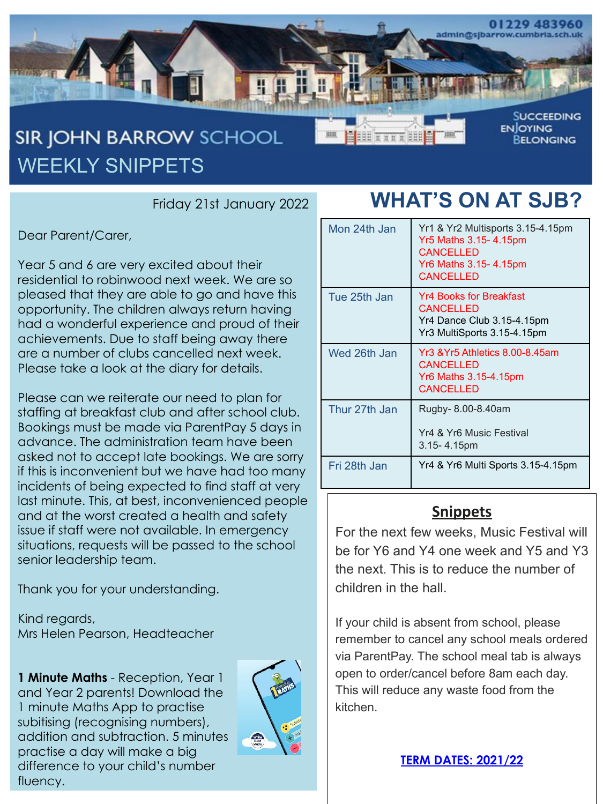

Friday 21st January 2022

Dear Parent/Carer,

Year 5 and 6 are very excited about their residential to robinwood next week. We are so pleased that they are able to go and have this opportunity. The children always return having had a wonderful experience and proud of their achievements. Due to staff being away there are a number of clubs cancelled next week. Please take a look at the diary for details.

Please can we reiterate our need to plan for staffing at breakfast club and after school club. Bookings must be made via ParentPay 5 days in advance. The administration team have been asked not to accept late bookings. We are sorry if this is inconvenient but we have had too many incidents of being expected to find staff at very last minute. This, at best, inconvenienced people and at the worst created a health and safety issue if staff were not available. In emergency situations, requests will be passed to the school senior leadership team.

Thank you for your understanding.

Kind regards, Mrs Helen Pearson, Headteacher

**1 Minute Maths** - Reception, Year 1 and Year 2 parents! Download the 1 minute Maths App to practise subitising (recognising numbers), addition and subtraction. 5 minutes practise a day will make a big difference to your child's number fluency.



## **WHAT'S ON AT SJB?**

| Mon 24th Jan  | Yr1 & Yr2 Multisports 3.15-4.15pm<br>Yr5 Maths 3.15-4.15pm<br><b>CANCELLED</b><br><b>Yr6 Maths 3.15-4.15pm</b><br><b>CANCELLED</b> |
|---------------|------------------------------------------------------------------------------------------------------------------------------------|
| Tue 25th Jan  | <b>Yr4 Books for Breakfast</b><br><b>CANCELLED</b><br>Yr4 Dance Club 3.15-4.15pm<br>Yr3 MultiSports 3.15-4.15pm                    |
| Wed 26th Jan  | Yr3 & Yr5 Athletics 8.00-8.45am<br><b>CANCELLED</b><br><b>Yr6 Maths 3.15-4.15pm</b><br><b>CANCELLED</b>                            |
| Thur 27th Jan | Rugby- 8.00-8.40am<br>Yr4 & Yr6 Music Festival<br>$3.15 - 4.15$ pm                                                                 |
| Fri 28th Jan  | Yr4 & Yr6 Multi Sports 3.15-4.15pm                                                                                                 |

### **Snippets**

For the next few weeks, Music Festival will be for Y6 and Y4 one week and Y5 and Y3 the next. This is to reduce the number of children in the hall.

If your child is absent from school, please remember to cancel any school meals ordered via ParentPay. The school meal tab is always open to order/cancel before 8am each day. This will reduce any waste food from the kitchen.

**[TERM DATES: 2021/22](https://cumbria.gov.uk/childrensservices/schoolsandlearning/termdates.asp)**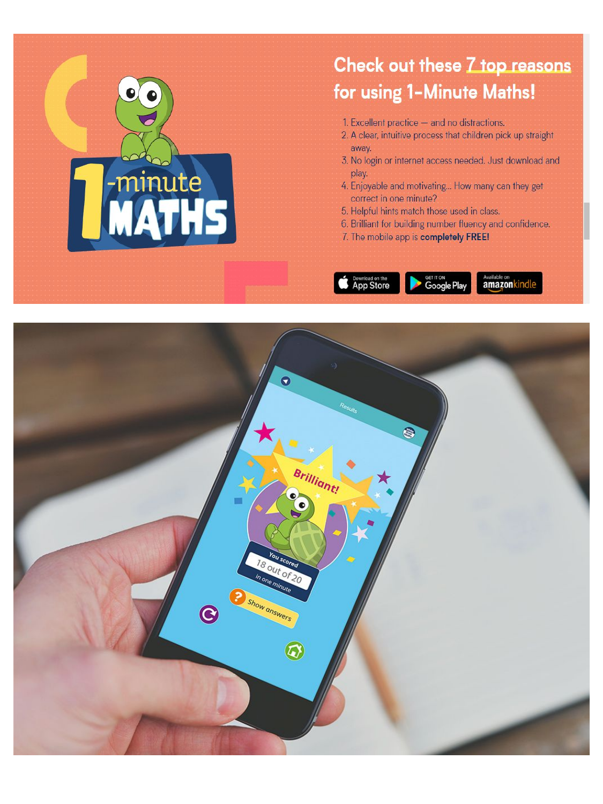

### Check out these 7 top reasons for using 1-Minute Maths!

- 1. Excellent practice and no distractions.
- 2. A clear, intuitive process that children pick up straight away.
- 3. No login or internet access needed. Just download and play.
- 4. Enjoyable and motivating... How many can they get correct in one minute?
- 5. Helpful hints match those used in class.
- 6. Brilliant for building number fluency and confidence.
- 7. The mobile app is completely FREE!